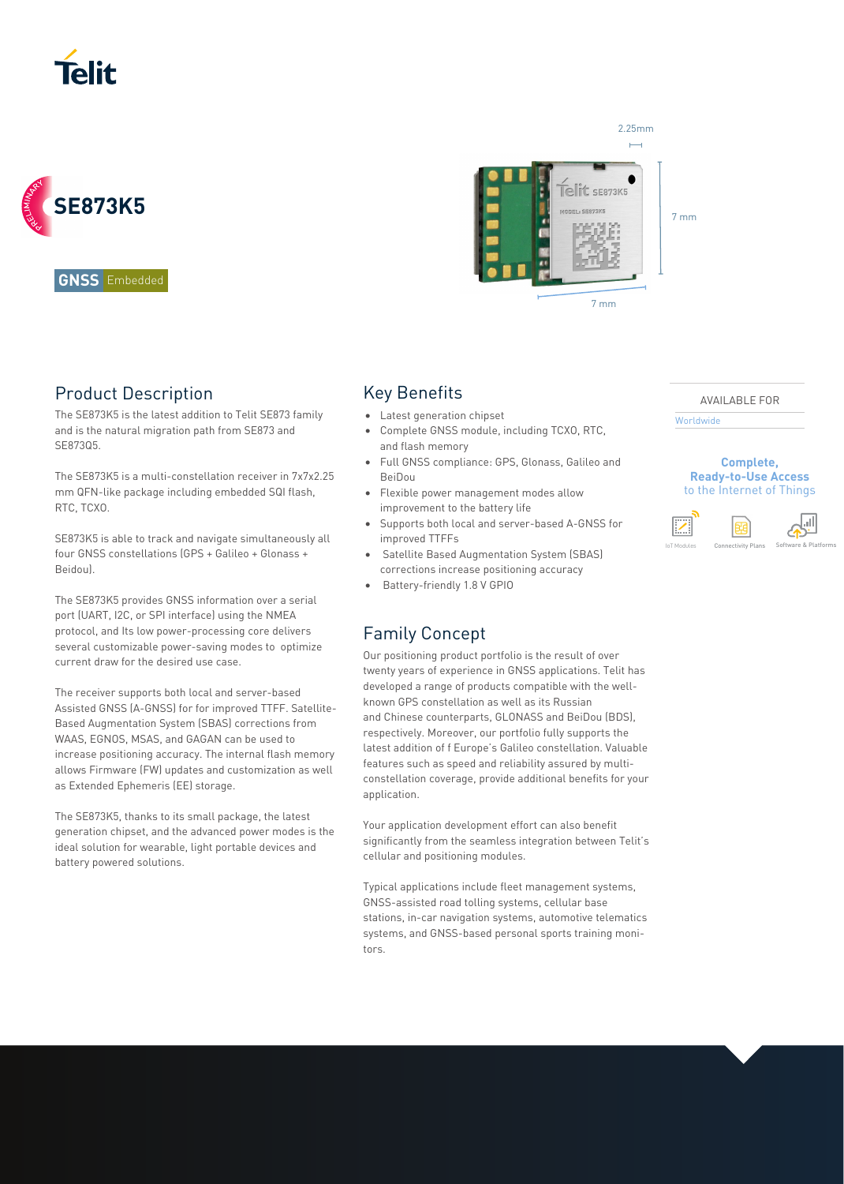



**GNSS** Embedded

## Product Description

The SE873K5 is the latest addition to Telit SE873 family and is the natural migration path from SE873 and SE873Q5.

The SE873K5 is a multi-constellation receiver in 7x7x2.25 mm QFN-like package including embedded SQI flash, RTC, TCXO.

SE873K5 is able to track and navigate simultaneously all four GNSS constellations (GPS + Galileo + Glonass + Beidou).

The SE873K5 provides GNSS information over a serial port (UART, I2C, or SPI interface) using the NMEA protocol, and Its low power-processing core delivers several customizable power-saving modes to optimize current draw for the desired use case.

The receiver supports both local and server-based Assisted GNSS (A-GNSS) for for improved TTFF. Satellite-Based Augmentation System (SBAS) corrections from WAAS, EGNOS, MSAS, and GAGAN can be used to increase positioning accuracy. The internal flash memory allows Firmware (FW) updates and customization as well as Extended Ephemeris (EE) storage.

The SE873K5, thanks to its small package, the latest generation chipset, and the advanced power modes is the ideal solution for wearable, light portable devices and battery powered solutions.



## Key Benefits

- Latest generation chipset
- Complete GNSS module, including TCXO, RTC, and flash memory
- Full GNSS compliance: GPS, Glonass, Galileo and BeiDou
- Flexible power management modes allow improvement to the battery life
- Supports both local and server-based A-GNSS for improved TTFFs
- Satellite Based Augmentation System (SBAS) corrections increase positioning accuracy
- Battery-friendly 1.8 V GPIO

## Family Concept

Our positioning product portfolio is the result of over twenty years of experience in GNSS applications. Telit has developed a range of products compatible with the wellknown GPS constellation as well as its Russian and Chinese counterparts, GLONASS and BeiDou (BDS), respectively. Moreover, our portfolio fully supports the latest addition of f Europe's Galileo constellation. Valuable features such as speed and reliability assured by multiconstellation coverage, provide additional benefits for your application.

Your application development effort can also benefit significantly from the seamless integration between Telit's cellular and positioning modules.

Typical applications include fleet management systems, GNSS-assisted road tolling systems, cellular base stations, in-car navigation systems, automotive telematics systems, and GNSS-based personal sports training monitors.

#### AVAILABLE FOR

Worldwide

**Complete, Ready-to-Use Access**  to the Internet of Things